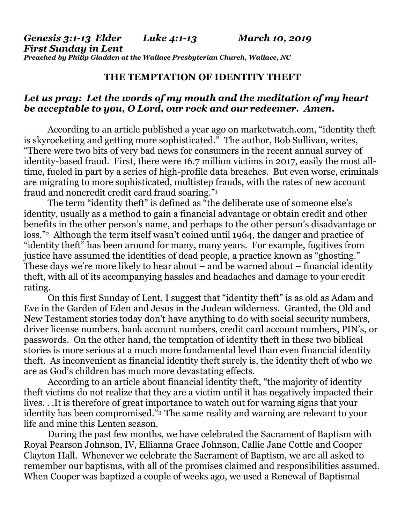### **THE TEMPTATION OF IDENTITY THEFT**

## *Let us pray: Let the words of my mouth and the meditation of my heart be acceptable to you, O Lord, our rock and our redeemer. Amen.*

According to an article published a year ago on marketwatch.com, "identity theft is skyrocketing and getting more sophisticated." The author, Bob Sullivan, writes, "There were two bits of very bad news for consumers in the recent annual survey of identity-based fraud. First, there were 16.7 million victims in 2017, easily the most alltime, fueled in part by a series of high-profile data breaches. But even worse, criminals are migrating to more sophisticated, multistep frauds, with the rates of new account fraud and noncredit credit card fraud soaring."<sup>1</sup>

The term "identity theft" is defined as "the deliberate use of someone else's identity, usually as a method to gain a financial advantage or obtain credit and other benefits in the other person's name, and perhaps to the other person's disadvantage or loss."2 Although the term itself wasn't coined until 1964, the danger and practice of "identity theft" has been around for many, many years. For example, fugitives from justice have assumed the identities of dead people, a practice known as "ghosting." These days we're more likely to hear about – and be warned about – financial identity theft, with all of its accompanying hassles and headaches and damage to your credit rating.

On this first Sunday of Lent, I suggest that "identity theft" is as old as Adam and Eve in the Garden of Eden and Jesus in the Judean wilderness. Granted, the Old and New Testament stories today don't have anything to do with social security numbers, driver license numbers, bank account numbers, credit card account numbers, PIN's, or passwords. On the other hand, the temptation of identity theft in these two biblical stories is more serious at a much more fundamental level than even financial identity theft. As inconvenient as financial identity theft surely is, the identity theft of who we are as God's children has much more devastating effects.

According to an article about financial identity theft, "the majority of identity theft victims do not realize that they are a victim until it has negatively impacted their lives. . .It is therefore of great importance to watch out for warning signs that your identity has been compromised."3 The same reality and warning are relevant to your life and mine this Lenten season.

During the past few months, we have celebrated the Sacrament of Baptism with Royal Pearson Johnson, IV, Ellianna Grace Johnson, Callie Jane Cottle and Cooper Clayton Hall. Whenever we celebrate the Sacrament of Baptism, we are all asked to remember our baptisms, with all of the promises claimed and responsibilities assumed. When Cooper was baptized a couple of weeks ago, we used a Renewal of Baptismal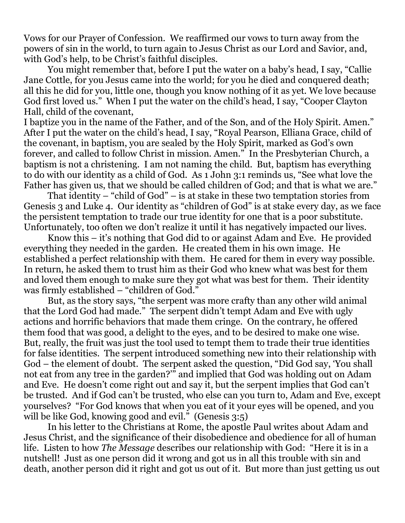Vows for our Prayer of Confession. We reaffirmed our vows to turn away from the powers of sin in the world, to turn again to Jesus Christ as our Lord and Savior, and, with God's help, to be Christ's faithful disciples.

You might remember that, before I put the water on a baby's head, I say, "Callie Jane Cottle, for you Jesus came into the world; for you he died and conquered death; all this he did for you, little one, though you know nothing of it as yet. We love because God first loved us." When I put the water on the child's head, I say, "Cooper Clayton Hall, child of the covenant,

I baptize you in the name of the Father, and of the Son, and of the Holy Spirit. Amen." After I put the water on the child's head, I say, "Royal Pearson, Elliana Grace, child of the covenant, in baptism, you are sealed by the Holy Spirit, marked as God's own forever, and called to follow Christ in mission. Amen." In the Presbyterian Church, a baptism is not a christening. I am not naming the child. But, baptism has everything to do with our identity as a child of God. As 1 John 3:1 reminds us, "See what love the Father has given us, that we should be called children of God; and that is what we are."

That identity – "child of God" – is at stake in these two temptation stories from Genesis 3 and Luke 4. Our identity as "children of God" is at stake every day, as we face the persistent temptation to trade our true identity for one that is a poor substitute. Unfortunately, too often we don't realize it until it has negatively impacted our lives.

Know this – it's nothing that God did to or against Adam and Eve. He provided everything they needed in the garden. He created them in his own image. He established a perfect relationship with them. He cared for them in every way possible. In return, he asked them to trust him as their God who knew what was best for them and loved them enough to make sure they got what was best for them. Their identity was firmly established – "children of God."

But, as the story says, "the serpent was more crafty than any other wild animal that the Lord God had made." The serpent didn't tempt Adam and Eve with ugly actions and horrific behaviors that made them cringe. On the contrary, he offered them food that was good, a delight to the eyes, and to be desired to make one wise. But, really, the fruit was just the tool used to tempt them to trade their true identities for false identities. The serpent introduced something new into their relationship with God – the element of doubt. The serpent asked the question, "Did God say, 'You shall not eat from any tree in the garden?'" and implied that God was holding out on Adam and Eve. He doesn't come right out and say it, but the serpent implies that God can't be trusted. And if God can't be trusted, who else can you turn to, Adam and Eve, except yourselves? "For God knows that when you eat of it your eyes will be opened, and you will be like God, knowing good and evil." (Genesis 3:5)

In his letter to the Christians at Rome, the apostle Paul writes about Adam and Jesus Christ, and the significance of their disobedience and obedience for all of human life. Listen to how *The Message* describes our relationship with God: "Here it is in a nutshell! Just as one person did it wrong and got us in all this trouble with sin and death, another person did it right and got us out of it. But more than just getting us out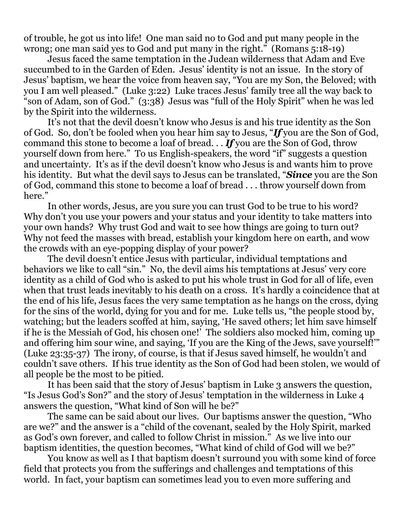of trouble, he got us into life! One man said no to God and put many people in the wrong; one man said yes to God and put many in the right." (Romans 5:18-19)

Jesus faced the same temptation in the Judean wilderness that Adam and Eve succumbed to in the Garden of Eden. Jesus' identity is not an issue. In the story of Jesus' baptism, we hear the voice from heaven say, "You are my Son, the Beloved; with you I am well pleased." (Luke 3:22) Luke traces Jesus' family tree all the way back to "son of Adam, son of God." (3:38) Jesus was "full of the Holy Spirit" when he was led by the Spirit into the wilderness.

It's not that the devil doesn't know who Jesus is and his true identity as the Son of God. So, don't be fooled when you hear him say to Jesus, "*If* you are the Son of God, command this stone to become a loaf of bread. . . *If* you are the Son of God, throw yourself down from here." To us English-speakers, the word "if" suggests a question and uncertainty. It's as if the devil doesn't know who Jesus is and wants him to prove his identity. But what the devil says to Jesus can be translated, "*Since* you are the Son of God, command this stone to become a loaf of bread . . . throw yourself down from here."

In other words, Jesus, are you sure you can trust God to be true to his word? Why don't you use your powers and your status and your identity to take matters into your own hands? Why trust God and wait to see how things are going to turn out? Why not feed the masses with bread, establish your kingdom here on earth, and wow the crowds with an eye-popping display of your power?

The devil doesn't entice Jesus with particular, individual temptations and behaviors we like to call "sin." No, the devil aims his temptations at Jesus' very core identity as a child of God who is asked to put his whole trust in God for all of life, even when that trust leads inevitably to his death on a cross. It's hardly a coincidence that at the end of his life, Jesus faces the very same temptation as he hangs on the cross, dying for the sins of the world, dying for you and for me. Luke tells us, "the people stood by, watching; but the leaders scoffed at him, saying, 'He saved others; let him save himself if he is the Messiah of God, his chosen one!' The soldiers also mocked him, coming up and offering him sour wine, and saying, 'If you are the King of the Jews, save yourself!'" (Luke 23:35-37) The irony, of course, is that if Jesus saved himself, he wouldn't and couldn't save others. If his true identity as the Son of God had been stolen, we would of all people be the most to be pitied.

It has been said that the story of Jesus' baptism in Luke 3 answers the question, "Is Jesus God's Son?" and the story of Jesus' temptation in the wilderness in Luke 4 answers the question, "What kind of Son will he be?"

The same can be said about our lives. Our baptisms answer the question, "Who are we?" and the answer is a "child of the covenant, sealed by the Holy Spirit, marked as God's own forever, and called to follow Christ in mission." As we live into our baptism identities, the question becomes, "What kind of child of God will we be?"

You know as well as I that baptism doesn't surround you with some kind of force field that protects you from the sufferings and challenges and temptations of this world. In fact, your baptism can sometimes lead you to even more suffering and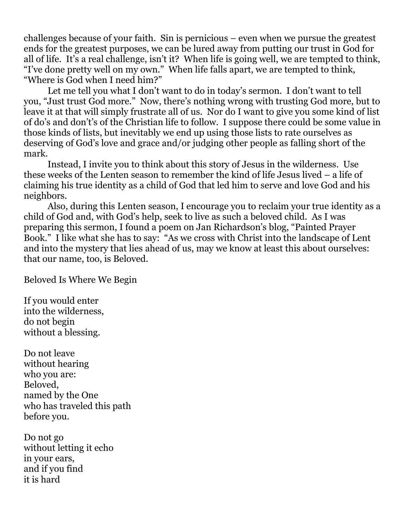challenges because of your faith. Sin is pernicious – even when we pursue the greatest ends for the greatest purposes, we can be lured away from putting our trust in God for all of life. It's a real challenge, isn't it? When life is going well, we are tempted to think, "I've done pretty well on my own." When life falls apart, we are tempted to think, "Where is God when I need him?"

Let me tell you what I don't want to do in today's sermon. I don't want to tell you, "Just trust God more." Now, there's nothing wrong with trusting God more, but to leave it at that will simply frustrate all of us. Nor do I want to give you some kind of list of do's and don't's of the Christian life to follow. I suppose there could be some value in those kinds of lists, but inevitably we end up using those lists to rate ourselves as deserving of God's love and grace and/or judging other people as falling short of the mark.

Instead, I invite you to think about this story of Jesus in the wilderness. Use these weeks of the Lenten season to remember the kind of life Jesus lived – a life of claiming his true identity as a child of God that led him to serve and love God and his neighbors.

Also, during this Lenten season, I encourage you to reclaim your true identity as a child of God and, with God's help, seek to live as such a beloved child. As I was preparing this sermon, I found a poem on Jan Richardson's blog, "Painted Prayer Book." I like what she has to say: "As we cross with Christ into the landscape of Lent and into the mystery that lies ahead of us, may we know at least this about ourselves: that our name, too, is Beloved.

Beloved Is Where We Begin

If you would enter into the wilderness, do not begin without a blessing.

Do not leave without hearing who you are: Beloved, named by the One who has traveled this path before you.

Do not go without letting it echo in your ears, and if you find it is hard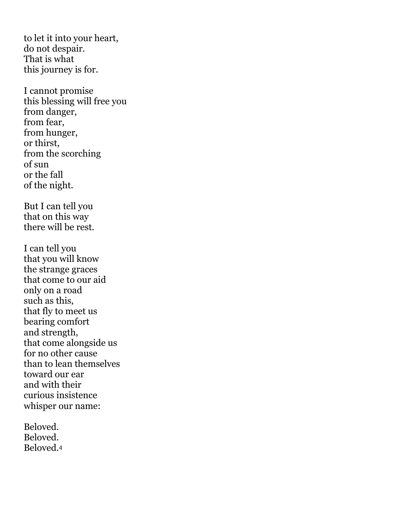to let it into your heart, do not despair. That is what this journey is for.

I cannot promise this blessing will free you from danger, from fear, from hunger, or thirst, from the scorching of sun or the fall of the night.

But I can tell you that on this way there will be rest.

I can tell you that you will know the strange graces that come to our aid only on a road such as this, that fly to meet us bearing comfort and strength, that come alongside us for no other cause than to lean themselves toward our ear and with their curious insistence whisper our name:

Beloved. Beloved. Beloved.4